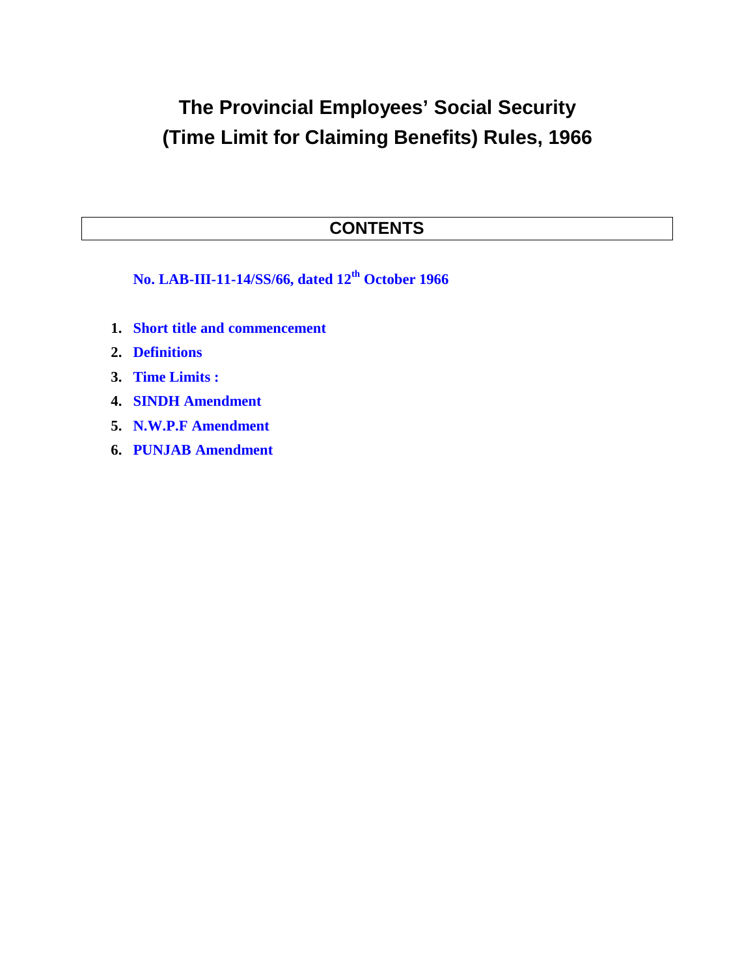# **The Provincial Employees' Social Security (Time Limit for Claiming Benefits) Rules, 1966**

# **CONTENTS**

**No. LAB-III-11-14/SS/66, dated 12th October 1966**

- **1. Short title and commencement**
- **2. Definitions**
- **3. Time Limits :**
- **4. SINDH Amendment**
- **5. N.W.P.F Amendment**
- **6. PUNJAB Amendment**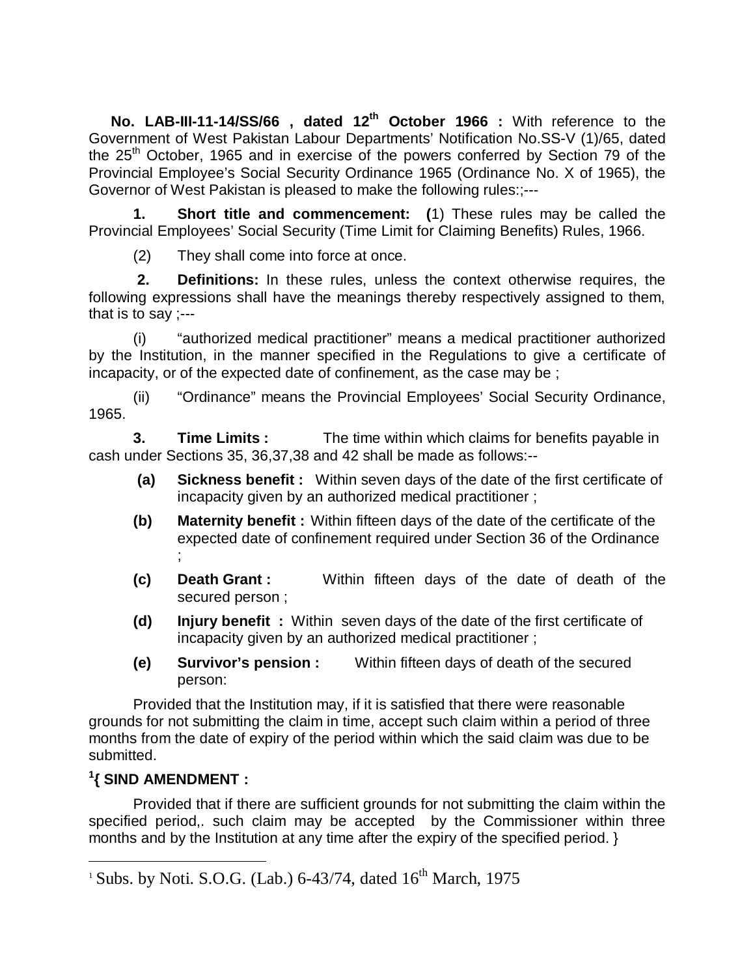**No. LAB-III-11-14/SS/66 , dated 12th October 1966 :** With reference to the Government of West Pakistan Labour Departments' Notification No.SS-V (1)/65, dated the  $25<sup>th</sup>$  October, 1965 and in exercise of the powers conferred by Section 79 of the Provincial Employee's Social Security Ordinance 1965 (Ordinance No. X of 1965), the Governor of West Pakistan is pleased to make the following rules:;---

**1. Short title and commencement: (**1) These rules may be called the Provincial Employees' Social Security (Time Limit for Claiming Benefits) Rules, 1966.

(2) They shall come into force at once.

**2. Definitions:** In these rules, unless the context otherwise requires, the following expressions shall have the meanings thereby respectively assigned to them, that is to say ;---

(i) "authorized medical practitioner" means a medical practitioner authorized by the Institution, in the manner specified in the Regulations to give a certificate of incapacity, or of the expected date of confinement, as the case may be ;

(ii) "Ordinance" means the Provincial Employees' Social Security Ordinance, 1965.

**3. Time Limits :** The time within which claims for benefits payable in cash under Sections 35, 36,37,38 and 42 shall be made as follows:--

- **(a) Sickness benefit :** Within seven days of the date of the first certificate of incapacity given by an authorized medical practitioner ;
- **(b) Maternity benefit :** Within fifteen days of the date of the certificate of the expected date of confinement required under Section 36 of the Ordinance ;
- **(c) Death Grant :** Within fifteen days of the date of death of the secured person ;
- **(d) Injury benefit :** Within seven days of the date of the first certificate of incapacity given by an authorized medical practitioner ;
- **(e) Survivor's pension :** Within fifteen days of death of the secured person:

Provided that the Institution may, if it is satisfied that there were reasonable grounds for not submitting the claim in time, accept such claim within a period of three months from the date of expiry of the period within which the said claim was due to be submitted.

## **1 { SIND AMENDMENT :**

 $\overline{a}$ 

Provided that if there are sufficient grounds for not submitting the claim within the specified period,. such claim may be accepted by the Commissioner within three months and by the Institution at any time after the expiry of the specified period. }

<sup>&</sup>lt;sup>1</sup> Subs. by Noti. S.O.G. (Lab.) 6-43/74, dated  $16<sup>th</sup>$  March, 1975